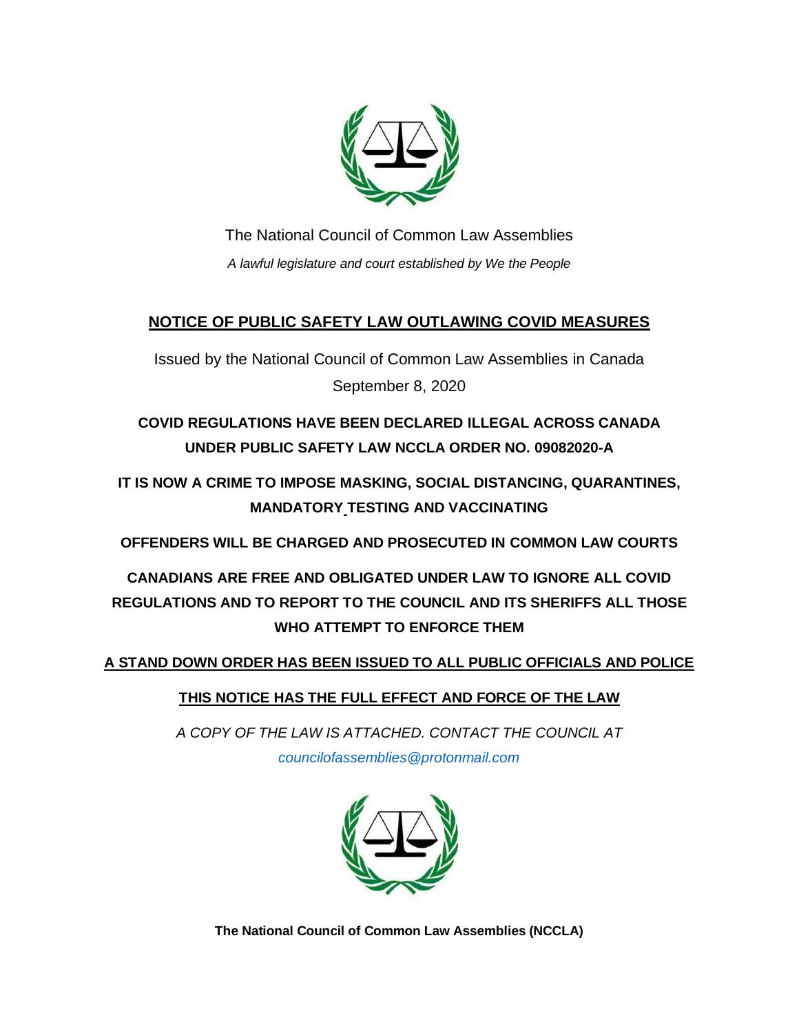

The National Council of Common Law Assemblies *A lawful legislature and court established by We the People*

#### **NOTICE OF PUBLIC SAFETY LAW OUTLAWING COVID MEASURES**

Issued by the National Council of Common Law Assemblies in Canada September 8, 2020

**COVID REGULATIONS HAVE BEEN DECLARED ILLEGAL ACROSS CANADA UNDER PUBLIC SAFETY LAW NCCLA ORDER NO. 09082020-A**

**IT IS NOW A CRIME TO IMPOSE MASKING, SOCIAL DISTANCING, QUARANTINES, MANDATORY TESTING AND VACCINATING** 

**OFFENDERS WILL BE CHARGED AND PROSECUTED IN COMMON LAW COURTS**

**CANADIANS ARE FREE AND OBLIGATED UNDER LAW TO IGNORE ALL COVID REGULATIONS AND TO REPORT TO THE COUNCIL AND ITS SHERIFFS ALL THOSE WHO ATTEMPT TO ENFORCE THEM**

**A STAND DOWN ORDER HAS BEEN ISSUED TO ALL PUBLIC OFFICIALS AND POLICE**

**THIS NOTICE HAS THE FULL EFFECT AND FORCE OF THE LAW**

*A COPY OF THE LAW IS ATTACHED. CONTACT THE COUNCIL AT [councilofassemblies@protonmail.com](mailto:councilofassemblies@protonmail.com)*



**The National Council of Common Law Assemblies (NCCLA)**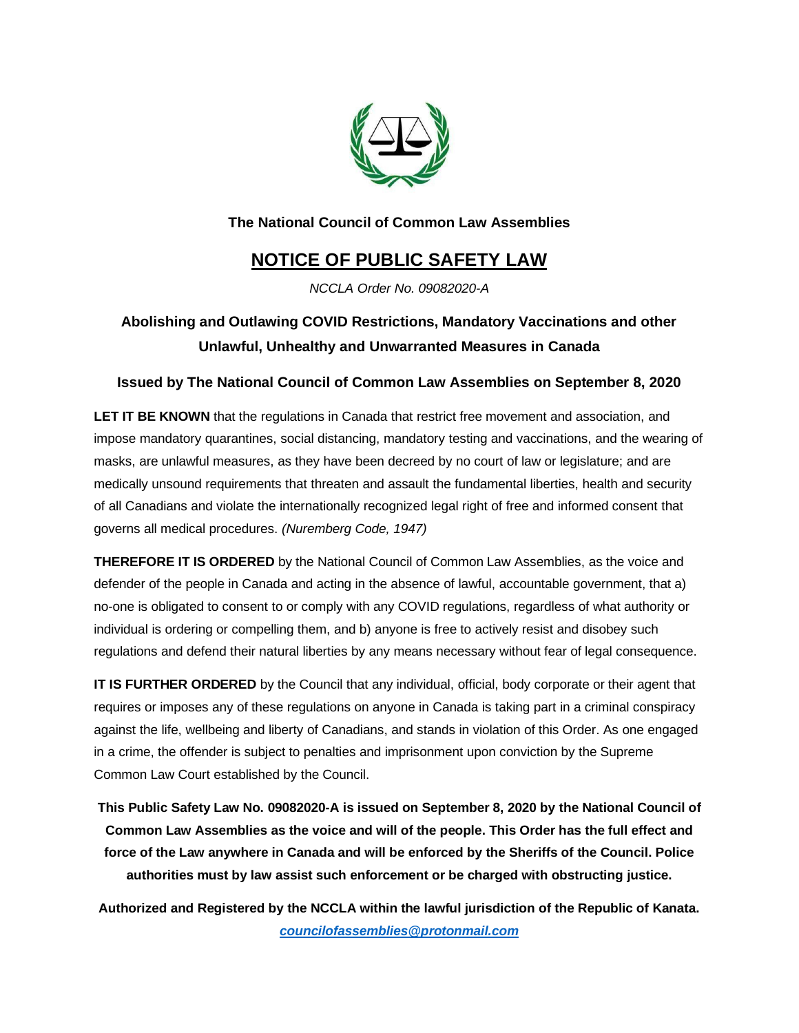

#### **The National Council of Common Law Assemblies**

## **NOTICE OF PUBLIC SAFETY LAW**

*NCCLA Order No. 09082020-A*

### **Abolishing and Outlawing COVID Restrictions, Mandatory Vaccinations and other Unlawful, Unhealthy and Unwarranted Measures in Canada**

#### **Issued by The National Council of Common Law Assemblies on September 8, 2020**

**LET IT BE KNOWN** that the regulations in Canada that restrict free movement and association, and impose mandatory quarantines, social distancing, mandatory testing and vaccinations, and the wearing of masks, are unlawful measures, as they have been decreed by no court of law or legislature; and are medically unsound requirements that threaten and assault the fundamental liberties, health and security of all Canadians and violate the internationally recognized legal right of free and informed consent that governs all medical procedures. *(Nuremberg Code, 1947)*

**THEREFORE IT IS ORDERED** by the National Council of Common Law Assemblies, as the voice and defender of the people in Canada and acting in the absence of lawful, accountable government, that a) no-one is obligated to consent to or comply with any COVID regulations, regardless of what authority or individual is ordering or compelling them, and b) anyone is free to actively resist and disobey such regulations and defend their natural liberties by any means necessary without fear of legal consequence.

**IT IS FURTHER ORDERED** by the Council that any individual, official, body corporate or their agent that requires or imposes any of these regulations on anyone in Canada is taking part in a criminal conspiracy against the life, wellbeing and liberty of Canadians, and stands in violation of this Order. As one engaged in a crime, the offender is subject to penalties and imprisonment upon conviction by the Supreme Common Law Court established by the Council.

**This Public Safety Law No. 09082020-A is issued on September 8, 2020 by the National Council of Common Law Assemblies as the voice and will of the people. This Order has the full effect and force of the Law anywhere in Canada and will be enforced by the Sheriffs of the Council. Police authorities must by law assist such enforcement or be charged with obstructing justice.**

**Authorized and Registered by the NCCLA within the lawful jurisdiction of the Republic of Kanata.**  *[councilofassemblies@protonmail.com](mailto:councilofassemblies@protonmail.com)*